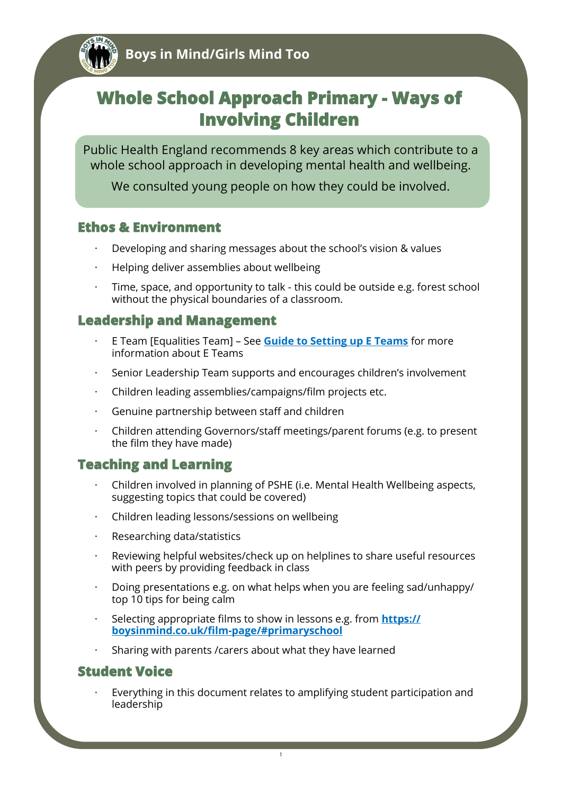

# **Whole School Approach Primary - Ways of Involving Children**

Public Health England recommends 8 key areas which contribute to a whole school approach in developing mental health and wellbeing.

We consulted young people on how they could be involved.

#### **Ethos & Environment**

- · Developing and sharing messages about the school's vision & values
- · Helping deliver assemblies about wellbeing
- Time, space, and opportunity to talk this could be outside e.g. forest school without the physical boundaries of a classroom.

## **Leadership and Management**

- · E Team [Equalities Team] See **[Guide to Setting up E Teams](https://www.bathnes.gov.uk/services/your-council-and-democracy/equality-and-diversity/e-teams)** for more information about E Teams
- Senior Leadership Team supports and encourages children's involvement
- · Children leading assemblies/campaigns/film projects etc.
- Genuine partnership between staff and children
- · Children attending Governors/staff meetings/parent forums (e.g. to present the film they have made)

## **Teaching and Learning**

- · Children involved in planning of PSHE (i.e. Mental Health Wellbeing aspects, suggesting topics that could be covered)
- · Children leading lessons/sessions on wellbeing
- Researching data/statistics
- Reviewing helpful websites/check up on helplines to share useful resources with peers by providing feedback in class
- · Doing presentations e.g. on what helps when you are feeling sad/unhappy/ top 10 tips for being calm
- · Selecting appropriate films to show in lessons e.g. from **[https://](https://boysinmind.co.uk/film-page/#primaryschool) [boysinmind.co.uk/film](https://boysinmind.co.uk/film-page/#primaryschool)-page/#primaryschool**
- Sharing with parents / carers about what they have learned

## **Student Voice**

Everything in this document relates to amplifying student participation and leadership